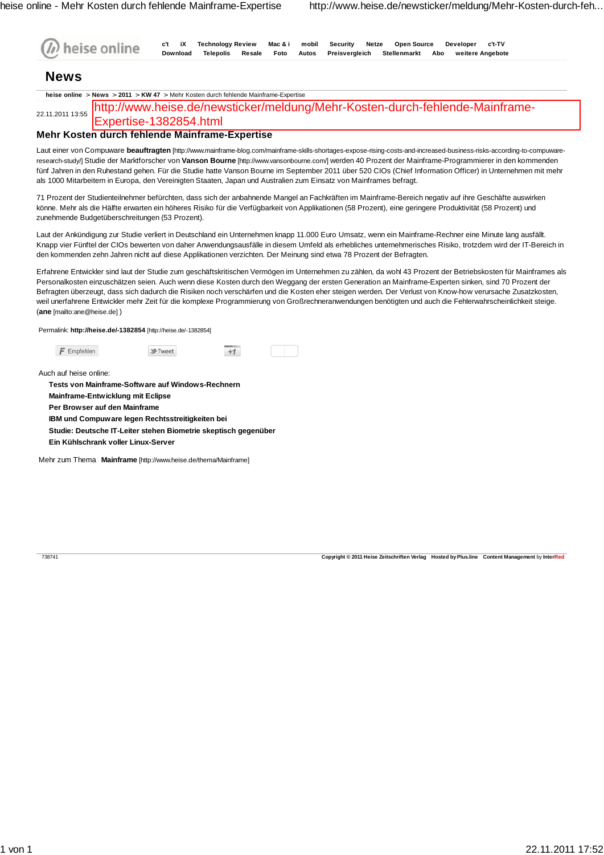|                                                 | heise online<br><b>Download</b><br><b>Telepolis</b><br>Preisvergleich<br>Stellenmarkt<br>Resale<br>Foto<br>Autos<br>Abo<br>weitere Angebote                                                                                                                                                                                                                                                                                                                                                                                                                                                                                                                                                                                                                                                      |
|-------------------------------------------------|--------------------------------------------------------------------------------------------------------------------------------------------------------------------------------------------------------------------------------------------------------------------------------------------------------------------------------------------------------------------------------------------------------------------------------------------------------------------------------------------------------------------------------------------------------------------------------------------------------------------------------------------------------------------------------------------------------------------------------------------------------------------------------------------------|
| <b>News</b>                                     |                                                                                                                                                                                                                                                                                                                                                                                                                                                                                                                                                                                                                                                                                                                                                                                                  |
|                                                 | heise online > News > 2011 > KW 47 > Mehr Kosten durch fehlende Mainframe-Expertise                                                                                                                                                                                                                                                                                                                                                                                                                                                                                                                                                                                                                                                                                                              |
| 22.11.2011 13:55                                | http://www.heise.de/newsticker/meldung/Mehr-Kosten-durch-fehlende-Mainframe-<br>Expertise-1382854.html                                                                                                                                                                                                                                                                                                                                                                                                                                                                                                                                                                                                                                                                                           |
|                                                 | Mehr Kosten durch fehlende Mainframe-Expertise                                                                                                                                                                                                                                                                                                                                                                                                                                                                                                                                                                                                                                                                                                                                                   |
|                                                 | Laut einer von Compuware <b>beauftragten</b> [http://www.mainframe-blog.com/mainframe-skills-shortages-expose-rising-costs-and-increased-business-risks-according-to-compuware-<br>research-study/  Studie der Marktforscher von <b>Vanson Bourne</b> [http://www.vansonbourne.com/] werden 40 Prozent der Mainframe-Programmierer in den kommenden<br>fünf Jahren in den Ruhestand gehen. Für die Studie hatte Vanson Bourne im September 2011 über 520 CIOs (Chief Information Officer) in Unternehmen mit mehr<br>als 1000 Mitarbeitern in Europa, den Vereinigten Staaten, Japan und Australien zum Einsatz von Mainframes befragt.<br>71 Prozent der Studienteilnehmer befürchten, dass sich der anbahnende Mangel an Fachkräften im Mainframe-Bereich negativ auf ihre Geschäfte auswirken |
| zunehmende Budgetüberschreitungen (53 Prozent). | könne. Mehr als die Hälfte erwarten ein höheres Risiko für die Verfügbarkeit von Applikationen (58 Prozent), eine geringere Produktivität (58 Prozent) und                                                                                                                                                                                                                                                                                                                                                                                                                                                                                                                                                                                                                                       |
|                                                 | Laut der Ankündigung zur Studie verliert in Deutschland ein Unternehmen knapp 11.000 Euro Umsatz, wenn ein Mainframe-Rechner eine Minute lang ausfällt.<br>Knapp vier Fünftel der CIOs bewerten von daher Anwendungsausfälle in diesem Umfeld als erhebliches unternehmerisches Risiko, trotzdem wird der IT-Bereich in<br>den kommenden zehn Jahren nicht auf diese Applikationen verzichten. Der Meinung sind etwa 78 Prozent der Befragten.                                                                                                                                                                                                                                                                                                                                                   |
|                                                 | Erfahrene Entwickler sind laut der Studie zum geschäftskritischen Vermögen im Unternehmen zu zählen, da wohl 43 Prozent der Betriebskosten für Mainframes als<br>Personalkosten einzuschätzen seien. Auch wenn diese Kosten durch den Weggang der ersten Generation an Mainframe-Experten sinken, sind 70 Prozent der<br>Befragten überzeugt, dass sich dadurch die Risiken noch verschärfen und die Kosten eher steigen werden. Der Verlust von Know-how verursache Zusatzkosten,<br>weil unerfahrene Entwickler mehr Zeit für die komplexe Programmierung von Großrechneranwendungen benötigten und auch die Fehlerwahrscheinlichkeit steige.                                                                                                                                                  |
|                                                 |                                                                                                                                                                                                                                                                                                                                                                                                                                                                                                                                                                                                                                                                                                                                                                                                  |
|                                                 | Permalink: http://heise.de/-1382854 [http://heise.de/-1382854]                                                                                                                                                                                                                                                                                                                                                                                                                                                                                                                                                                                                                                                                                                                                   |
| (ane [mailto:ane@heise.de])<br>$F$ Empfehlen    | St-Tweet<br>$+1$                                                                                                                                                                                                                                                                                                                                                                                                                                                                                                                                                                                                                                                                                                                                                                                 |
|                                                 | Tests von Mainframe-Software auf Windows-Rechnern                                                                                                                                                                                                                                                                                                                                                                                                                                                                                                                                                                                                                                                                                                                                                |
| <b>Mainframe-Entwicklung mit Eclipse</b>        |                                                                                                                                                                                                                                                                                                                                                                                                                                                                                                                                                                                                                                                                                                                                                                                                  |
| Per Browser auf den Mainframe                   | IBM und Compuware legen Rechtsstreitigkeiten bei                                                                                                                                                                                                                                                                                                                                                                                                                                                                                                                                                                                                                                                                                                                                                 |
|                                                 | Studie: Deutsche IT-Leiter stehen Biometrie skeptisch gegenüber                                                                                                                                                                                                                                                                                                                                                                                                                                                                                                                                                                                                                                                                                                                                  |
| Ein Kühlschrank voller Linux-Server             |                                                                                                                                                                                                                                                                                                                                                                                                                                                                                                                                                                                                                                                                                                                                                                                                  |
|                                                 | Mehr zum Thema Mainframe [http://www.heise.de/thema/Mainframe]                                                                                                                                                                                                                                                                                                                                                                                                                                                                                                                                                                                                                                                                                                                                   |
| Auch auf heise online:                          |                                                                                                                                                                                                                                                                                                                                                                                                                                                                                                                                                                                                                                                                                                                                                                                                  |
|                                                 |                                                                                                                                                                                                                                                                                                                                                                                                                                                                                                                                                                                                                                                                                                                                                                                                  |